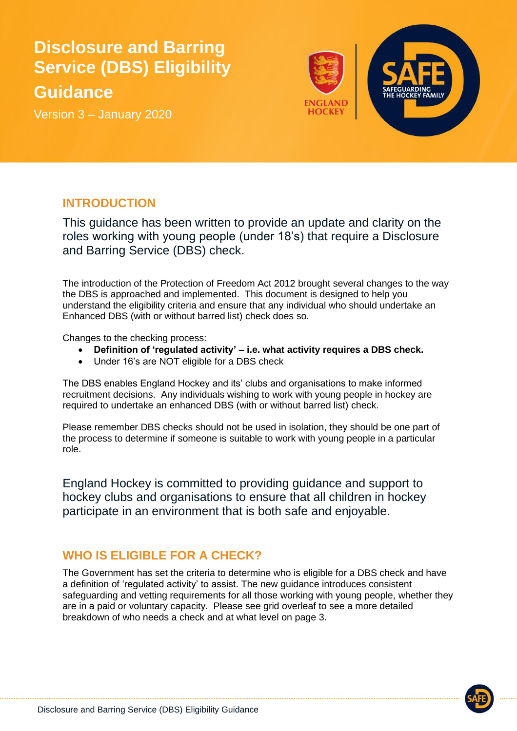# **Disclosure and Barring Service (DBS) Eligibility Guidance**

Version 3 – January 2020



#### **INTRODUCTION**

This guidance has been written to provide an update and clarity on the roles working with young people (under 18's) that require a Disclosure and Barring Service (DBS) check.

The introduction of the Protection of Freedom Act 2012 brought several changes to the way the DBS is approached and implemented. This document is designed to help you understand the eligibility criteria and ensure that any individual who should undertake an Enhanced DBS (with or without barred list) check does so.

Changes to the checking process:

- **Definition of 'regulated activity' – i.e. what activity requires a DBS check.**
- Under 16's are NOT eligible for a DBS check

The DBS enables England Hockey and its' clubs and organisations to make informed recruitment decisions. Any individuals wishing to work with young people in hockey are required to undertake an enhanced DBS (with or without barred list) check.

Please remember DBS checks should not be used in isolation, they should be one part of the process to determine if someone is suitable to work with young people in a particular role.

England Hockey is committed to providing guidance and support to hockey clubs and organisations to ensure that all children in hockey participate in an environment that is both safe and enjoyable.

## **WHO IS ELIGIBLE FOR A CHECK?**

The Government has set the criteria to determine who is eligible for a DBS check and have a definition of 'regulated activity' to assist. The new guidance introduces consistent safeguarding and vetting requirements for all those working with young people, whether they are in a paid or voluntary capacity. Please see grid overleaf to see a more detailed breakdown of who needs a check and at what level on page 3.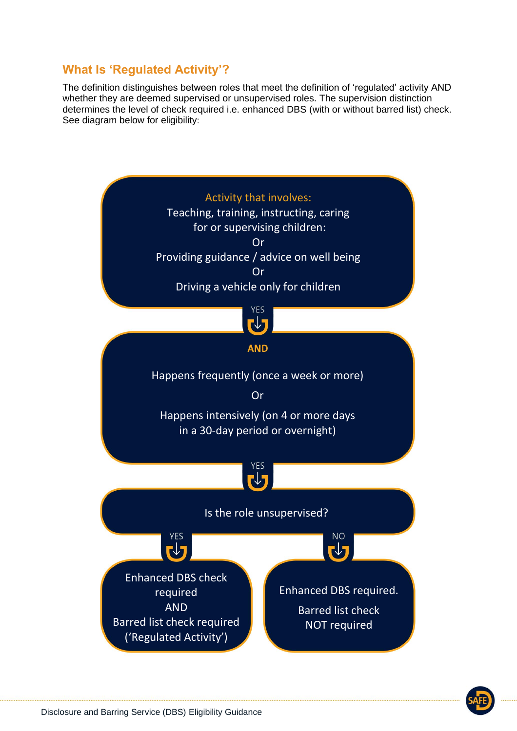## **What Is 'Regulated Activity'?**

The definition distinguishes between roles that meet the definition of 'regulated' activity AND whether they are deemed supervised or unsupervised roles. The supervision distinction determines the level of check required i.e. enhanced DBS (with or without barred list) check. See diagram below for eligibility:

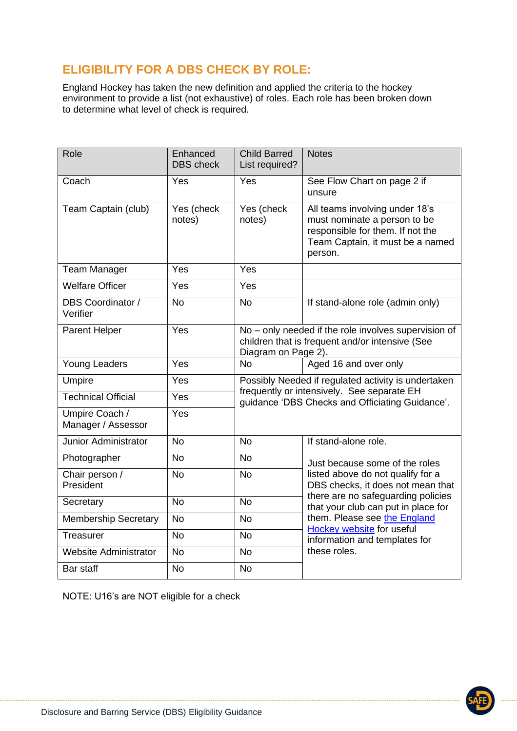## **ELIGIBILITY FOR A DBS CHECK BY ROLE:**

England Hockey has taken the new definition and applied the criteria to the hockey environment to provide a list (not exhaustive) of roles. Each role has been broken down to determine what level of check is required.

| Role                                 | Enhanced<br><b>DBS</b> check | <b>Child Barred</b><br>List required?                                                                                                                | <b>Notes</b>                                                                                                                                                                                                                                                                                        |
|--------------------------------------|------------------------------|------------------------------------------------------------------------------------------------------------------------------------------------------|-----------------------------------------------------------------------------------------------------------------------------------------------------------------------------------------------------------------------------------------------------------------------------------------------------|
| Coach                                | Yes                          | Yes                                                                                                                                                  | See Flow Chart on page 2 if<br>unsure                                                                                                                                                                                                                                                               |
| Team Captain (club)                  | Yes (check<br>notes)         | Yes (check<br>notes)                                                                                                                                 | All teams involving under 18's<br>must nominate a person to be<br>responsible for them. If not the<br>Team Captain, it must be a named<br>person.                                                                                                                                                   |
| <b>Team Manager</b>                  | Yes                          | Yes                                                                                                                                                  |                                                                                                                                                                                                                                                                                                     |
| <b>Welfare Officer</b>               | Yes                          | Yes                                                                                                                                                  |                                                                                                                                                                                                                                                                                                     |
| <b>DBS Coordinator /</b><br>Verifier | <b>No</b>                    | <b>No</b>                                                                                                                                            | If stand-alone role (admin only)                                                                                                                                                                                                                                                                    |
| Parent Helper                        | Yes                          | No - only needed if the role involves supervision of<br>children that is frequent and/or intensive (See<br>Diagram on Page 2).                       |                                                                                                                                                                                                                                                                                                     |
| <b>Young Leaders</b>                 | Yes                          | <b>No</b>                                                                                                                                            | Aged 16 and over only                                                                                                                                                                                                                                                                               |
| Umpire                               | Yes                          | Possibly Needed if regulated activity is undertaken<br>frequently or intensively. See separate EH<br>guidance 'DBS Checks and Officiating Guidance'. |                                                                                                                                                                                                                                                                                                     |
| <b>Technical Official</b>            | Yes                          |                                                                                                                                                      |                                                                                                                                                                                                                                                                                                     |
| Umpire Coach /<br>Manager / Assessor | Yes                          |                                                                                                                                                      |                                                                                                                                                                                                                                                                                                     |
| <b>Junior Administrator</b>          | <b>No</b>                    | <b>No</b>                                                                                                                                            | If stand-alone role.                                                                                                                                                                                                                                                                                |
| Photographer                         | <b>No</b>                    | <b>No</b>                                                                                                                                            | Just because some of the roles<br>listed above do not qualify for a<br>DBS checks, it does not mean that<br>there are no safeguarding policies<br>that your club can put in place for<br>them. Please see the England<br>Hockey website for useful<br>information and templates for<br>these roles. |
| Chair person /<br>President          | <b>No</b>                    | <b>No</b>                                                                                                                                            |                                                                                                                                                                                                                                                                                                     |
| Secretary                            | <b>No</b>                    | <b>No</b>                                                                                                                                            |                                                                                                                                                                                                                                                                                                     |
| <b>Membership Secretary</b>          | <b>No</b>                    | <b>No</b>                                                                                                                                            |                                                                                                                                                                                                                                                                                                     |
| Treasurer                            | <b>No</b>                    | <b>No</b>                                                                                                                                            |                                                                                                                                                                                                                                                                                                     |
| <b>Website Administrator</b>         | <b>No</b>                    | <b>No</b>                                                                                                                                            |                                                                                                                                                                                                                                                                                                     |
| Bar staff                            | <b>No</b>                    | <b>No</b>                                                                                                                                            |                                                                                                                                                                                                                                                                                                     |

NOTE: U16's are NOT eligible for a check